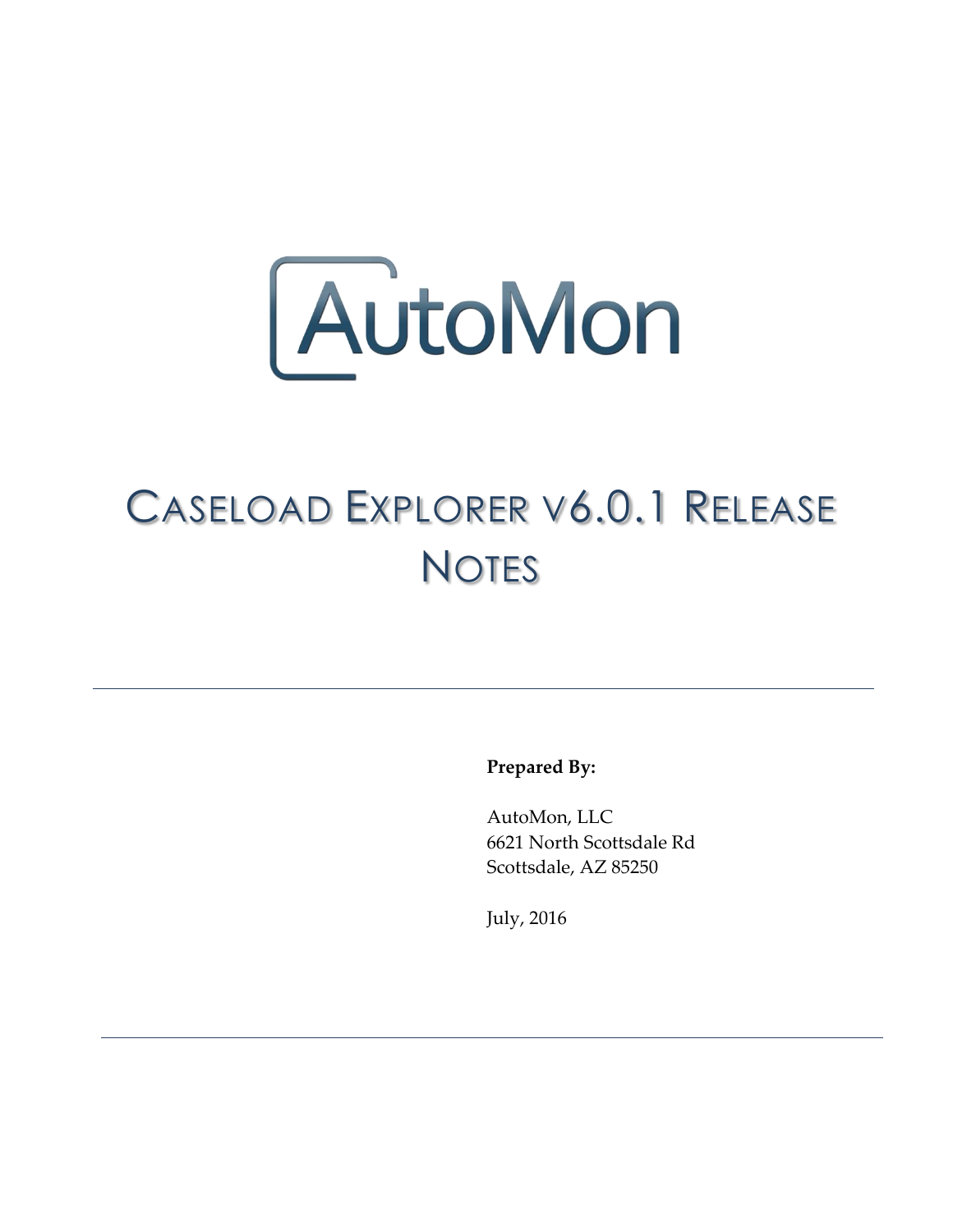

## CASELOAD EXPLORER V6.0.1 RELEASE **NOTES**

**Prepared By:**

AutoMon, LLC 6621 North Scottsdale Rd Scottsdale, AZ 85250

July, 2016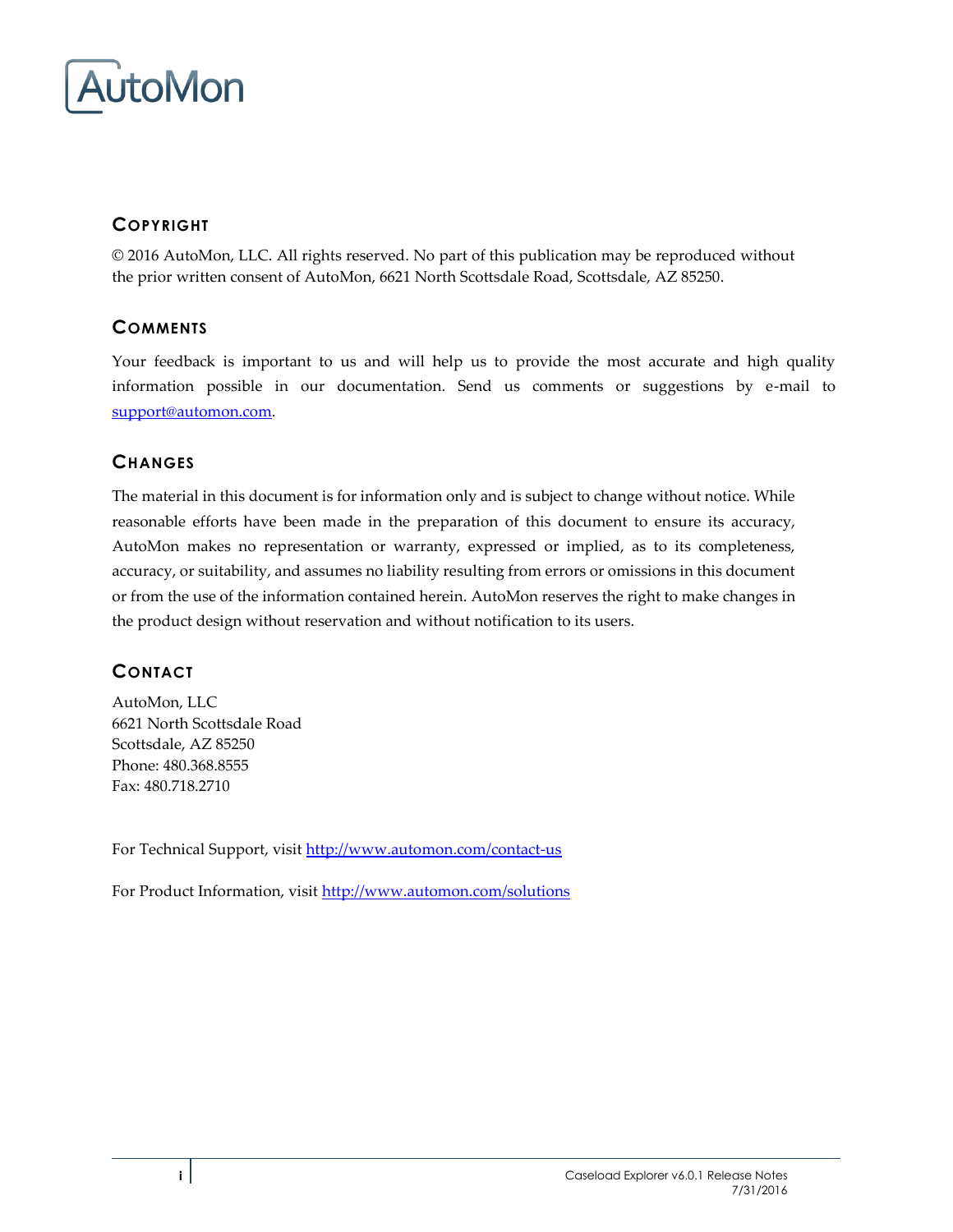

## **COPYRIGHT**

© 2016 AutoMon, LLC. All rights reserved. No part of this publication may be reproduced without the prior written consent of AutoMon, 6621 North Scottsdale Road, Scottsdale, AZ 85250.

### **COMMENTS**

Your feedback is important to us and will help us to provide the most accurate and high quality information possible in our documentation. Send us comments or suggestions by e-mail to [support@automon.com.](mailto:support@automon.com)

### **CHANGES**

The material in this document is for information only and is subject to change without notice. While reasonable efforts have been made in the preparation of this document to ensure its accuracy, AutoMon makes no representation or warranty, expressed or implied, as to its completeness, accuracy, or suitability, and assumes no liability resulting from errors or omissions in this document or from the use of the information contained herein. AutoMon reserves the right to make changes in the product design without reservation and without notification to its users.

### **CONTACT**

AutoMon, LLC 6621 North Scottsdale Road Scottsdale, AZ 85250 Phone: 480.368.8555 Fax: 480.718.2710

For Technical Support, visi[t http://www.automon.com/contact-us](http://www.automon.com/#!contact/c1d94)

For Product Information, visit [http://www.automon.com/solutions](http://www.automon.com/#!products/ch6q)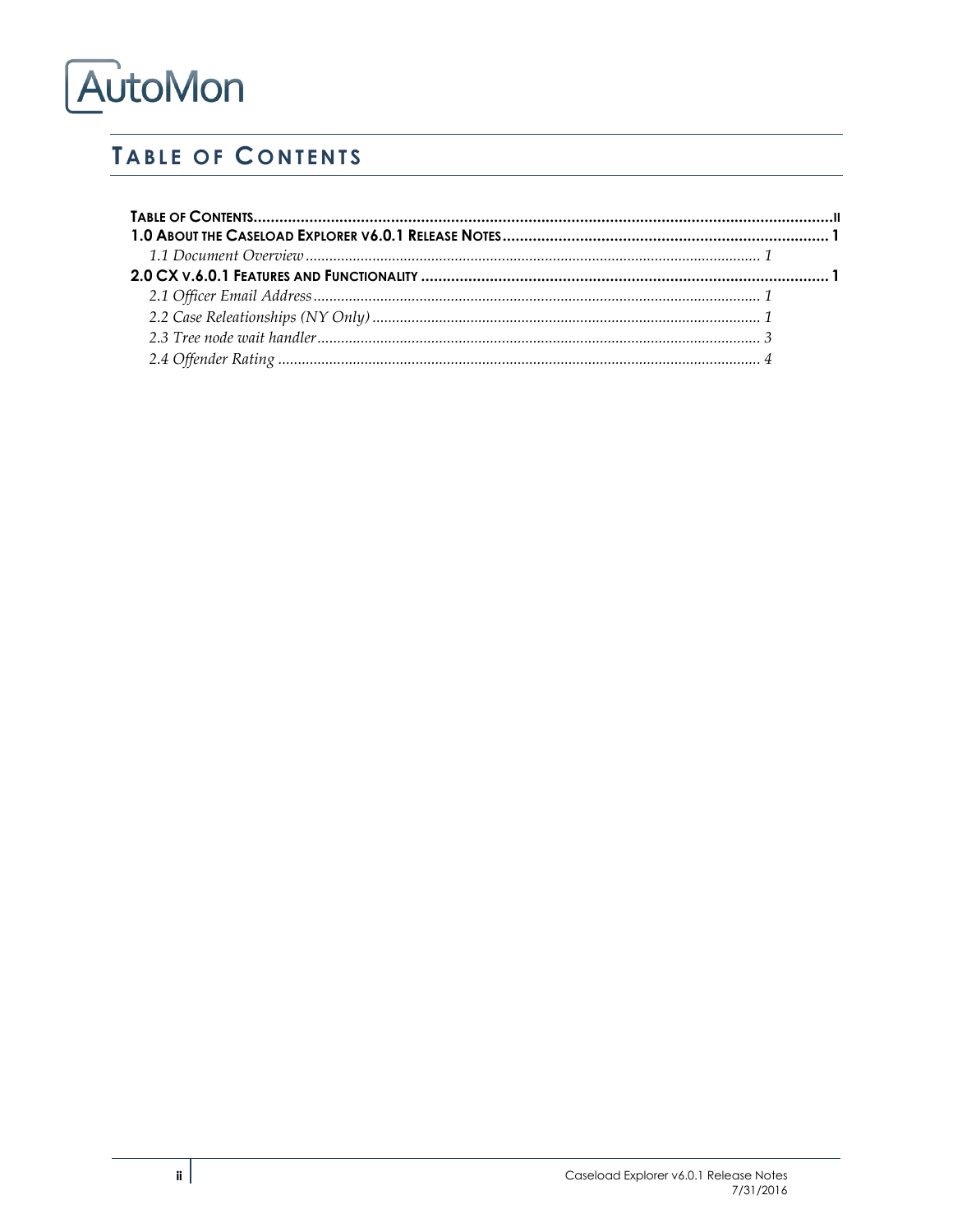## <span id="page-2-0"></span>**TABLE OF CONTENTS**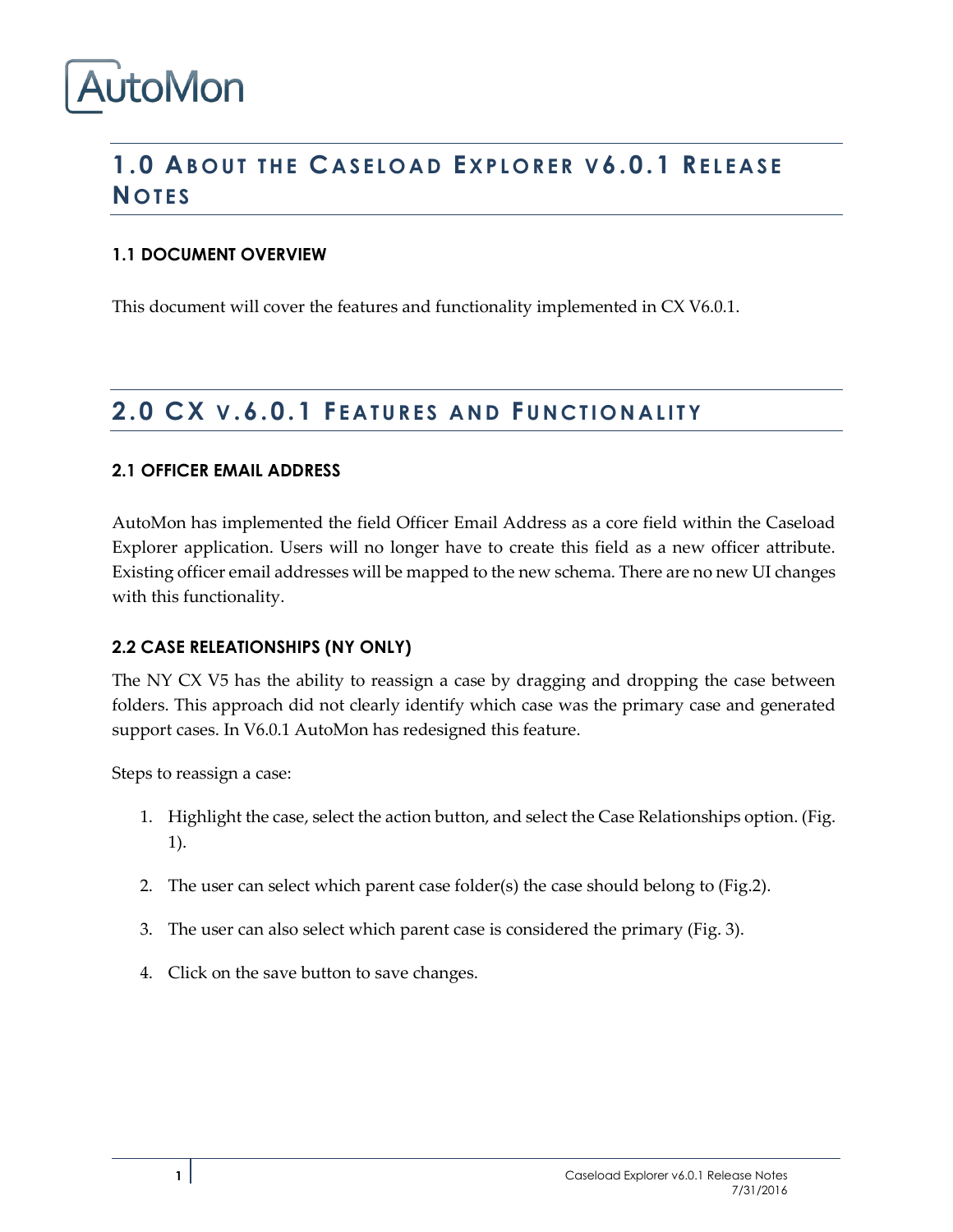## <span id="page-3-0"></span>**1.0 AB O U T T H E CA S E L O A D EX P L O R E R V 6.0.1 RE L E A S E N O T E S**

### <span id="page-3-1"></span>**1.1 DOCUMENT OVERVIEW**

This document will cover the features and functionality implemented in CX V6.0.1.

## <span id="page-3-2"></span>**2.0 CX V .6.0.1 F E A T U R E S A N D FU N C T I O N A L I T Y**

#### <span id="page-3-3"></span>**2.1 OFFICER EMAIL ADDRESS**

AutoMon has implemented the field Officer Email Address as a core field within the Caseload Explorer application. Users will no longer have to create this field as a new officer attribute. Existing officer email addresses will be mapped to the new schema. There are no new UI changes with this functionality.

#### <span id="page-3-4"></span>**2.2 CASE RELEATIONSHIPS (NY ONLY)**

The NY CX V5 has the ability to reassign a case by dragging and dropping the case between folders. This approach did not clearly identify which case was the primary case and generated support cases. In V6.0.1 AutoMon has redesigned this feature.

Steps to reassign a case:

- 1. Highlight the case, select the action button, and select the Case Relationships option. (Fig. 1).
- 2. The user can select which parent case folder(s) the case should belong to (Fig.2).
- 3. The user can also select which parent case is considered the primary (Fig. 3).
- 4. Click on the save button to save changes.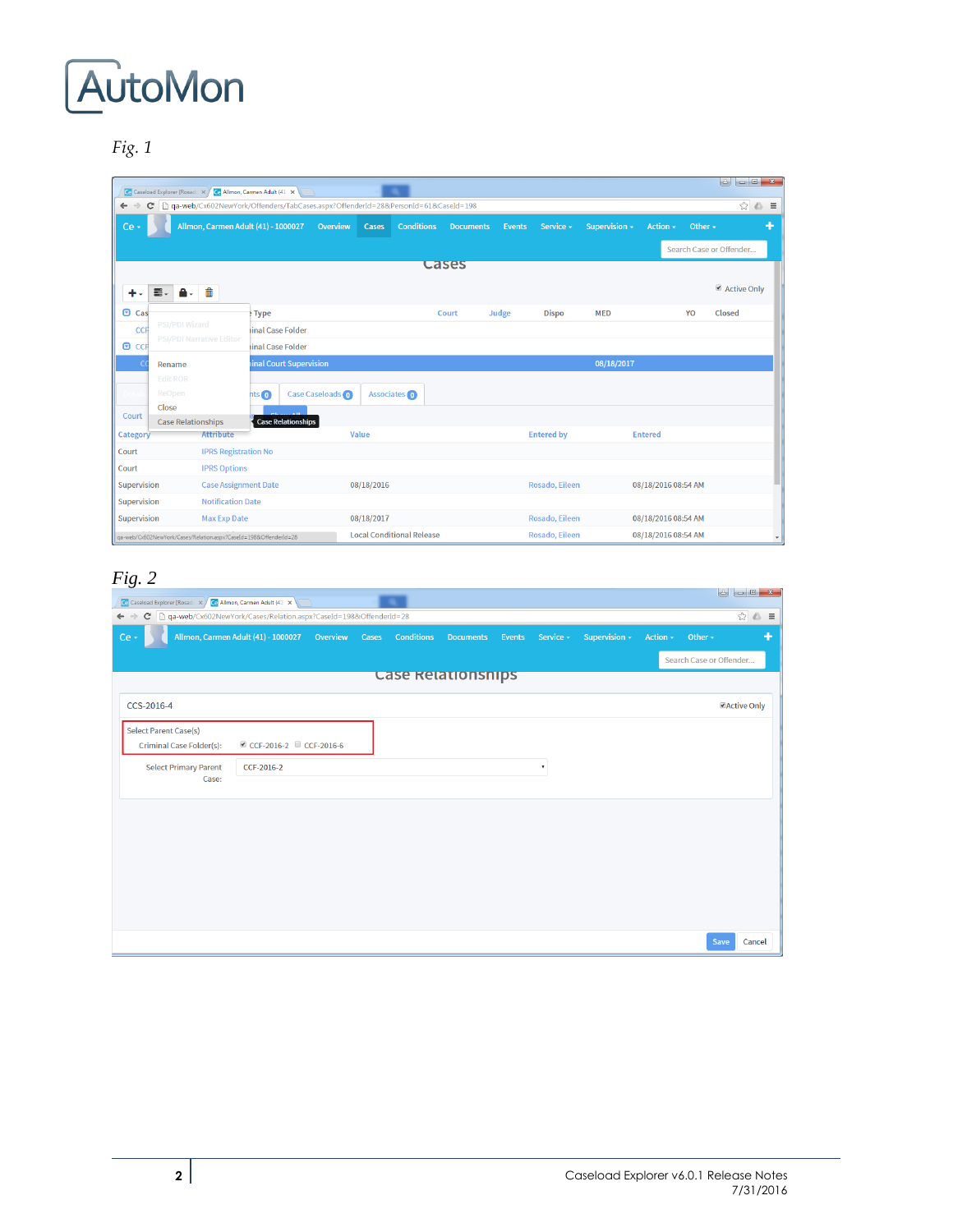*Fig. 1*

|                              | Ce Caseload Explorer [Rosade x / Ce Allmon, Carmen Adult (41 x ) |                                     |                   |                           |                                                                                  |                                  |                   |                  |               |                   |               |                     |              | $\begin{array}{c c c c c} \hline \multicolumn{3}{c }{\mathbf{0}} & \multicolumn{3}{c }{\mathbf{X}} \end{array}$<br>$\left  \cdot \right $ |
|------------------------------|------------------------------------------------------------------|-------------------------------------|-------------------|---------------------------|----------------------------------------------------------------------------------|----------------------------------|-------------------|------------------|---------------|-------------------|---------------|---------------------|--------------|-------------------------------------------------------------------------------------------------------------------------------------------|
| $\mathbf{C}$<br>$\leftarrow$ |                                                                  |                                     |                   |                           | qa-web/Cx602NewYork/Offenders/TabCases.aspx?OffenderId=28&PersonId=61&CaseId=198 |                                  |                   |                  |               |                   |               |                     |              | $\circledcirc$                                                                                                                            |
| Ce -                         |                                                                  | Allmon, Carmen Adult (41) - 1000027 |                   |                           | Overview                                                                         | Cases                            | <b>Conditions</b> | <b>Documents</b> | <b>Events</b> | Service -         | Supervision - | Action -            | Other $\sim$ |                                                                                                                                           |
|                              |                                                                  |                                     |                   |                           |                                                                                  |                                  |                   |                  |               |                   |               |                     |              | Search Case or Offender                                                                                                                   |
|                              |                                                                  |                                     |                   |                           |                                                                                  |                                  |                   | <b>Cases</b>     |               |                   |               |                     |              |                                                                                                                                           |
|                              | Ξ.<br>A.                                                         | fili                                |                   |                           |                                                                                  |                                  |                   |                  |               |                   |               |                     |              | Active Only                                                                                                                               |
| $\Box$ Cas                   |                                                                  |                                     | $F$ Type          |                           |                                                                                  |                                  |                   | Court            | Judge         | <b>Dispo</b>      | <b>MED</b>    |                     | YO           | Closed                                                                                                                                    |
| CCF                          | PSI/PDI Wizard<br><b>PSI/PDI Narrative Editor</b>                |                                     | iinal Case Folder |                           |                                                                                  |                                  |                   |                  |               |                   |               |                     |              |                                                                                                                                           |
| $O$ CCF                      |                                                                  |                                     | inal Case Folder  |                           |                                                                                  |                                  |                   |                  |               |                   |               |                     |              |                                                                                                                                           |
| C                            | Rename                                                           |                                     |                   | inal Court Supervision    |                                                                                  |                                  |                   |                  |               |                   | 08/18/2017    |                     |              |                                                                                                                                           |
|                              | <b>Edit ROR</b>                                                  |                                     |                   |                           |                                                                                  |                                  |                   |                  |               |                   |               |                     |              |                                                                                                                                           |
|                              | ReOpen<br>Close                                                  |                                     | $nts$ $\odot$     |                           | <b>Case Caseloads</b>                                                            | Associates (0)                   |                   |                  |               |                   |               |                     |              |                                                                                                                                           |
| Court                        | <b>Case Relationships</b>                                        |                                     |                   | <b>Case Relationships</b> |                                                                                  |                                  |                   |                  |               |                   |               |                     |              |                                                                                                                                           |
| Category                     |                                                                  | <b>Attribute</b>                    |                   |                           |                                                                                  | Value                            |                   |                  |               | <b>Entered by</b> |               | <b>Entered</b>      |              |                                                                                                                                           |
| Court                        |                                                                  | <b>IPRS Registration No</b>         |                   |                           |                                                                                  |                                  |                   |                  |               |                   |               |                     |              |                                                                                                                                           |
| Court                        |                                                                  | <b>IPRS Options</b>                 |                   |                           |                                                                                  |                                  |                   |                  |               |                   |               |                     |              |                                                                                                                                           |
| Supervision                  |                                                                  | <b>Case Assignment Date</b>         |                   |                           |                                                                                  | 08/18/2016                       |                   |                  |               | Rosado, Eileen    |               | 08/18/2016 08:54 AM |              |                                                                                                                                           |
| Supervision                  |                                                                  | <b>Notification Date</b>            |                   |                           |                                                                                  |                                  |                   |                  |               |                   |               |                     |              |                                                                                                                                           |
| Supervision                  |                                                                  | <b>Max Exp Date</b>                 |                   |                           |                                                                                  | 08/18/2017                       |                   |                  |               | Rosado, Eileen    |               | 08/18/2016 08:54 AM |              |                                                                                                                                           |
|                              | ga-web/Cx602NewYork/Cases/Relation.aspx?CaseId=198&OffenderId=28 |                                     |                   |                           |                                                                                  | <b>Local Conditional Release</b> |                   |                  |               | Rosado, Eileen    |               | 08/18/2016 08:54 AM |              |                                                                                                                                           |

## *Fig. 2*

| Ce Caseload Explorer [Rosade X]                                         | Ce Allmon, Carmen Adult (41 X                |  |                         |                  |        |                           |               |          |                         |                    |
|-------------------------------------------------------------------------|----------------------------------------------|--|-------------------------|------------------|--------|---------------------------|---------------|----------|-------------------------|--------------------|
| ← → C   a-web/Cx602NewYork/Cases/Relation.aspx?CaseId=198&OffenderId=28 |                                              |  |                         |                  |        |                           |               |          |                         | $\circledcirc$     |
| Ce -                                                                    | Allmon, Carmen Adult (41) - 1000027 Overview |  | <b>Cases Conditions</b> | <b>Documents</b> | Events | Service -                 | Supervision - | Action - | Other -                 | ٠                  |
|                                                                         |                                              |  |                         |                  |        |                           |               |          | Search Case or Offender |                    |
|                                                                         |                                              |  | Case Relationships      |                  |        |                           |               |          |                         |                    |
| CCS-2016-4                                                              |                                              |  |                         |                  |        |                           |               |          |                         | <b>Active Only</b> |
| <b>Select Parent Case(s)</b>                                            |                                              |  |                         |                  |        |                           |               |          |                         |                    |
| <b>Criminal Case Folder(s):</b>                                         | CCF-2016-2 CCF-2016-6                        |  |                         |                  |        |                           |               |          |                         |                    |
| <b>Select Primary Parent</b>                                            | CCF-2016-2                                   |  |                         |                  |        | $\boldsymbol{\mathrm{v}}$ |               |          |                         |                    |
| Case:                                                                   |                                              |  |                         |                  |        |                           |               |          |                         |                    |
|                                                                         |                                              |  |                         |                  |        |                           |               |          |                         |                    |
|                                                                         |                                              |  |                         |                  |        |                           |               |          |                         |                    |
|                                                                         |                                              |  |                         |                  |        |                           |               |          |                         |                    |
|                                                                         |                                              |  |                         |                  |        |                           |               |          |                         |                    |
|                                                                         |                                              |  |                         |                  |        |                           |               |          |                         |                    |
|                                                                         |                                              |  |                         |                  |        |                           |               |          |                         |                    |
|                                                                         |                                              |  |                         |                  |        |                           |               |          |                         |                    |
|                                                                         |                                              |  |                         |                  |        |                           |               |          | Save                    | Cancel             |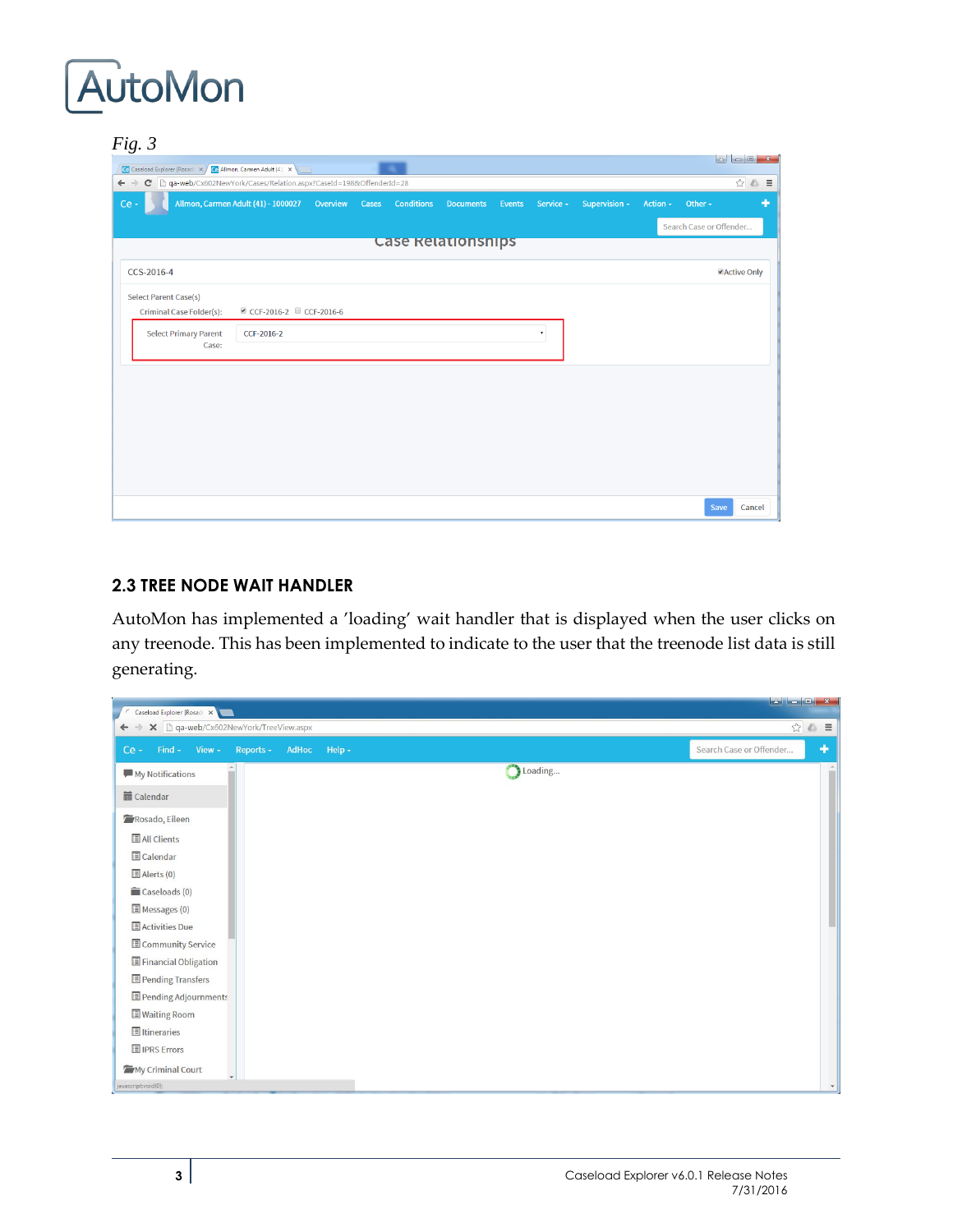## *Fig. 3*

| $\tilde{ }$<br>Ce Caseload Explorer [Rosadc X   Ce Allmon, Carmen Adult (41 X   X                  |                                              |       |                   |                    |        |           |               |          |                         |                    |
|----------------------------------------------------------------------------------------------------|----------------------------------------------|-------|-------------------|--------------------|--------|-----------|---------------|----------|-------------------------|--------------------|
| C   aa-web/Cx602NewYork/Cases/Relation.aspx?CaseId=198&OffenderId=28<br>$\leftarrow$ $\rightarrow$ |                                              |       |                   |                    |        |           |               |          |                         |                    |
| Ce -                                                                                               | Allmon, Carmen Adult (41) - 1000027 Overview | Cases | <b>Conditions</b> | <b>Documents</b>   | Events | Service - | Supervision - | Action - | Other $\sim$            | ÷                  |
|                                                                                                    |                                              |       |                   |                    |        |           |               |          | Search Case or Offender |                    |
|                                                                                                    |                                              |       |                   | Case Relationships |        |           |               |          |                         |                    |
| CCS-2016-4                                                                                         |                                              |       |                   |                    |        |           |               |          |                         | <b>Active Only</b> |
| <b>Select Parent Case(s)</b>                                                                       |                                              |       |                   |                    |        |           |               |          |                         |                    |
| <b>Criminal Case Folder(s):</b>                                                                    | © CCF-2016-2 CCF-2016-6                      |       |                   |                    |        |           |               |          |                         |                    |
| <b>Select Primary Parent</b><br>Case:                                                              | CCF-2016-2                                   |       |                   |                    |        | ۰.        |               |          |                         |                    |
|                                                                                                    |                                              |       |                   |                    |        |           |               |          |                         |                    |
|                                                                                                    |                                              |       |                   |                    |        |           |               |          |                         |                    |
|                                                                                                    |                                              |       |                   |                    |        |           |               |          |                         |                    |
|                                                                                                    |                                              |       |                   |                    |        |           |               |          |                         |                    |
|                                                                                                    |                                              |       |                   |                    |        |           |               |          |                         |                    |
|                                                                                                    |                                              |       |                   |                    |        |           |               |          |                         |                    |
|                                                                                                    |                                              |       |                   |                    |        |           |               |          |                         |                    |
|                                                                                                    |                                              |       |                   |                    |        |           |               |          |                         | Save<br>Cancel     |

#### <span id="page-5-0"></span>**2.3 TREE NODE WAIT HANDLER**

AutoMon has implemented a 'loading' wait handler that is displayed when the user clicks on any treenode. This has been implemented to indicate to the user that the treenode list data is still generating.

| Caseload Explorer [Rosad: X<br>← → × □ qa-web/Cx602NewYork/TreeView.aspx |                                   | ☆△ ≡ |
|--------------------------------------------------------------------------|-----------------------------------|------|
| Find $\star$ View $\star$<br>Reports $\sim$<br>AdHoc<br>$Ce -$           | Search Case or Offender<br>Help - | ٠    |
| My Notifications                                                         | Loading                           |      |
| <b>■</b> Calendar                                                        |                                   |      |
| Rosado, Eileen                                                           |                                   |      |
| All Clients                                                              |                                   |      |
| Calendar                                                                 |                                   |      |
| Alerts (0)                                                               |                                   |      |
| Caseloads (0)                                                            |                                   |      |
| Messages (0)                                                             |                                   |      |
| Activities Due                                                           |                                   |      |
| Community Service                                                        |                                   |      |
| Financial Obligation                                                     |                                   |      |
| Pending Transfers                                                        |                                   |      |
| Pending Adjournments                                                     |                                   |      |
| <b>Waiting Room</b>                                                      |                                   |      |
| <b>I</b> I Itineraries                                                   |                                   |      |
| <b>I</b> IPRS Errors                                                     |                                   |      |
| My Criminal Court                                                        |                                   |      |
| javascript:void(0);                                                      |                                   |      |